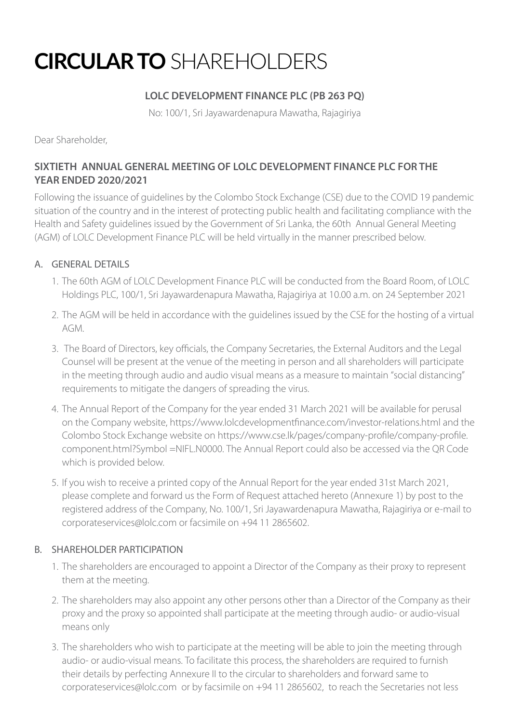# **CIRCULAR TO** SHAREHOLDERS

## **LOLC DEVELOPMENT FINANCE PLC (PB 263 PQ)**

No: 100/1, Sri Jayawardenapura Mawatha, Rajagiriya

Dear Shareholder,

## **SIXTIETH ANNUAL GENERAL MEETING OF LOLC DEVELOPMENT FINANCE PLC FOR THE YEAR ENDED 2020/2021**

Following the issuance of guidelines by the Colombo Stock Exchange (CSE) due to the COVID 19 pandemic situation of the country and in the interest of protecting public health and facilitating compliance with the Health and Safety guidelines issued by the Government of Sri Lanka, the 60th Annual General Meeting (AGM) of LOLC Development Finance PLC will be held virtually in the manner prescribed below.

#### A. GENERAL DETAILS

- 1. The 60th AGM of LOLC Development Finance PLC will be conducted from the Board Room, of LOLC Holdings PLC, 100/1, Sri Jayawardenapura Mawatha, Rajagiriya at 10.00 a.m. on 24 September 2021
- 2. The AGM will be held in accordance with the guidelines issued by the CSE for the hosting of a virtual AGM.
- 3. The Board of Directors, key officials, the Company Secretaries, the External Auditors and the Legal Counsel will be present at the venue of the meeting in person and all shareholders will participate in the meeting through audio and audio visual means as a measure to maintain "social distancing" requirements to mitigate the dangers of spreading the virus.
- 4. The Annual Report of the Company for the year ended 31 March 2021 will be available for perusal on the Company website, https://www.lolcdevelopmentfinance.com/investor-relations.html and the Colombo Stock Exchange website on https://www.cse.lk/pages/company-profile/company-profile. component.html?Symbol =NIFL.N0000. The Annual Report could also be accessed via the QR Code which is provided below.
- 5. If you wish to receive a printed copy of the Annual Report for the year ended 31st March 2021, please complete and forward us the Form of Request attached hereto (Annexure 1) by post to the registered address of the Company, No. 100/1, Sri Jayawardenapura Mawatha, Rajagiriya or e-mail to corporateservices@lolc.com or facsimile on +94 11 2865602.

#### B. SHAREHOLDER PARTICIPATION

- 1. The shareholders are encouraged to appoint a Director of the Company as their proxy to represent them at the meeting.
- 2. The shareholders may also appoint any other persons other than a Director of the Company as their proxy and the proxy so appointed shall participate at the meeting through audio- or audio-visual means only
- 3. The shareholders who wish to participate at the meeting will be able to join the meeting through audio- or audio-visual means. To facilitate this process, the shareholders are required to furnish their details by perfecting Annexure II to the circular to shareholders and forward same to corporateservices@lolc.com or by facsimile on +94 11 2865602, to reach the Secretaries not less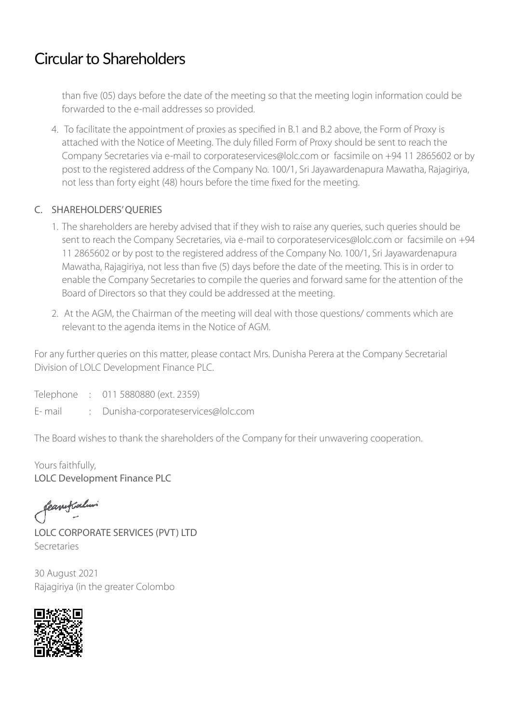## Circular to Shareholders

than five (05) days before the date of the meeting so that the meeting login information could be forwarded to the e-mail addresses so provided.

4. To facilitate the appointment of proxies as specified in B.1 and B.2 above, the Form of Proxy is attached with the Notice of Meeting. The duly filled Form of Proxy should be sent to reach the Company Secretaries via e-mail to corporateservices@lolc.com or facsimile on +94 11 2865602 or by post to the registered address of the Company No. 100/1, Sri Jayawardenapura Mawatha, Rajagiriya, not less than forty eight (48) hours before the time fixed for the meeting.

### C. SHAREHOLDERS' QUERIES

- 1. The shareholders are hereby advised that if they wish to raise any queries, such queries should be sent to reach the Company Secretaries, via e-mail to corporateservices@lolc.com or facsimile on +94 11 2865602 or by post to the registered address of the Company No. 100/1, Sri Jayawardenapura Mawatha, Rajagiriya, not less than five (5) days before the date of the meeting. This is in order to enable the Company Secretaries to compile the queries and forward same for the attention of the Board of Directors so that they could be addressed at the meeting.
- 2. At the AGM, the Chairman of the meeting will deal with those questions/ comments which are relevant to the agenda items in the Notice of AGM.

For any further queries on this matter, please contact Mrs. Dunisha Perera at the Company Secretarial Division of LOLC Development Finance PLC.

Telephone : 011 5880880 (ext. 2359)

E- mail : Dunisha-corporateservices@lolc.com

The Board wishes to thank the shareholders of the Company for their unwavering cooperation.

Yours faithfully, LOLC Development Finance PLC

feanifialur

LOLC CORPORATE SERVICES (PVT) LTD Secretaries

30 August 2021 Rajagiriya (in the greater Colombo

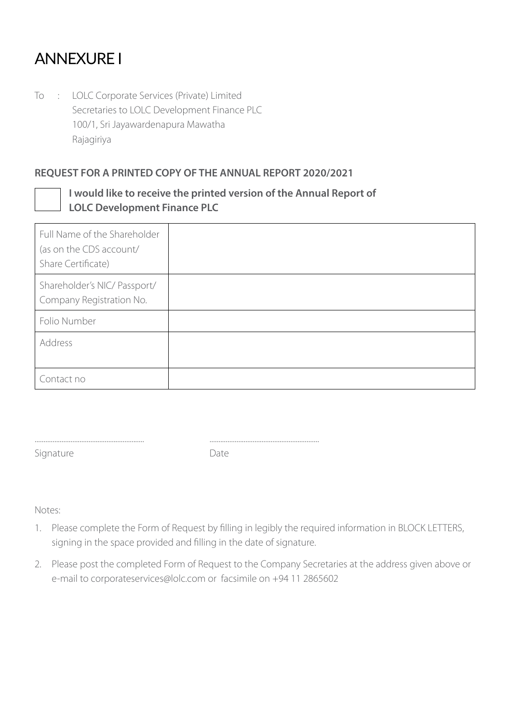## ANNEXURE I

To : LOLC Corporate Services (Private) Limited Secretaries to LOLC Development Finance PLC 100/1, Sri Jayawardenapura Mawatha Rajagiriya

#### **REQUEST FOR A PRINTED COPY OF THE ANNUAL REPORT 2020/2021**



### **I would like to receive the printed version of the Annual Report of LOLC Development Finance PLC**

| Full Name of the Shareholder<br>(as on the CDS account/<br>Share Certificate) |  |
|-------------------------------------------------------------------------------|--|
| Shareholder's NIC/ Passport/<br>Company Registration No.                      |  |
| Folio Number                                                                  |  |
| Address                                                                       |  |
| Contact no                                                                    |  |

Signature Date

............................................................. .............................................................

Notes:

- 1. Please complete the Form of Request by filling in legibly the required information in BLOCK LETTERS, signing in the space provided and filling in the date of signature.
- 2. Please post the completed Form of Request to the Company Secretaries at the address given above or e-mail to corporateservices@lolc.com or facsimile on +94 11 2865602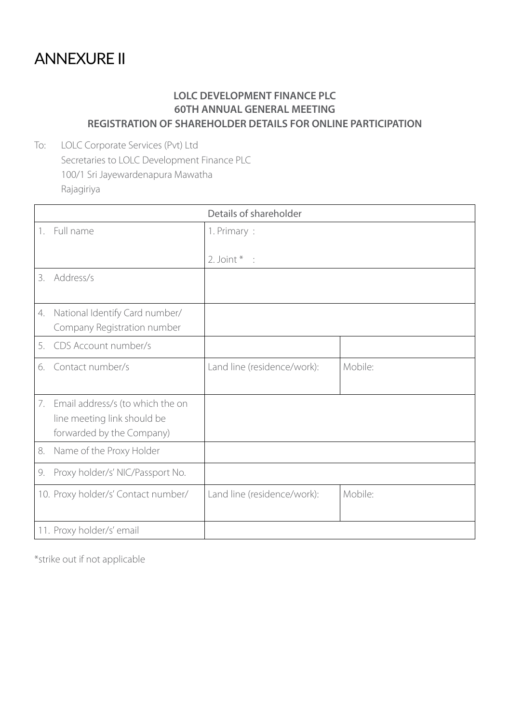## ANNEXURE II

### **LOLC DEVELOPMENT FINANCE PLC 60TH ANNUAL GENERAL MEETING REGISTRATION OF SHAREHOLDER DETAILS FOR ONLINE PARTICIPATION**

To: LOLC Corporate Services (Pvt) Ltd Secretaries to LOLC Development Finance PLC 100/1 Sri Jayewardenapura Mawatha Rajagiriya

|    | Details of shareholder                                                                          |                             |                     |  |  |
|----|-------------------------------------------------------------------------------------------------|-----------------------------|---------------------|--|--|
|    | 1. Full name                                                                                    | 1. Primary:                 |                     |  |  |
|    |                                                                                                 | 2. Joint $*$ :              |                     |  |  |
| 3. | Address/s                                                                                       |                             |                     |  |  |
| 4. | National Identify Card number/<br>Company Registration number                                   |                             |                     |  |  |
| 5. | CDS Account number/s                                                                            |                             |                     |  |  |
| б. | Contact number/s                                                                                | Land line (residence/work): | Mobile <sup>.</sup> |  |  |
|    | 7. Email address/s (to which the on<br>line meeting link should be<br>forwarded by the Company) |                             |                     |  |  |
| 8. | Name of the Proxy Holder                                                                        |                             |                     |  |  |
| 9. | Proxy holder/s' NIC/Passport No.                                                                |                             |                     |  |  |
|    | 10. Proxy holder/s' Contact number/                                                             | Land line (residence/work): | Mobile:             |  |  |
|    | 11. Proxy holder/s' email                                                                       |                             |                     |  |  |

\*strike out if not applicable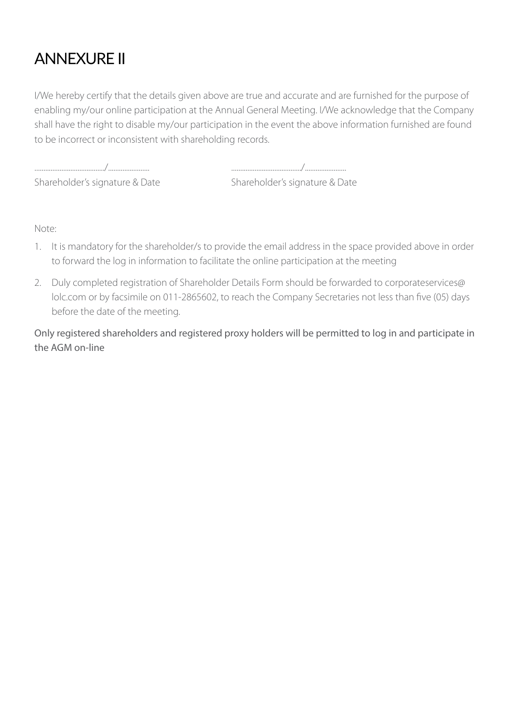# ANNEXURE II

I/We hereby certify that the details given above are true and accurate and are furnished for the purpose of enabling my/our online participation at the Annual General Meeting. I/We acknowledge that the Company shall have the right to disable my/our participation in the event the above information furnished are found to be incorrect or inconsistent with shareholding records.

Shareholder's signature & Date Shareholder's signature & Date

......................................./....................... ......................................./.......................

Note:

- 1. It is mandatory for the shareholder/s to provide the email address in the space provided above in order to forward the log in information to facilitate the online participation at the meeting
- 2. Duly completed registration of Shareholder Details Form should be forwarded to corporateservices@ lolc.com or by facsimile on 011-2865602, to reach the Company Secretaries not less than five (05) days before the date of the meeting.

Only registered shareholders and registered proxy holders will be permitted to log in and participate in the AGM on-line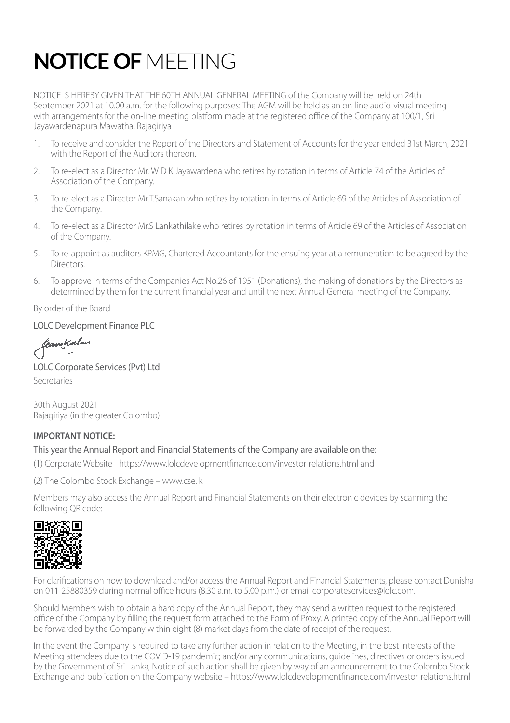# **NOTICE OF** MEETING

NOTICE IS HEREBY GIVEN THAT THE 60TH ANNUAL GENERAL MEETING of the Company will be held on 24th September 2021 at 10.00 a.m. for the following purposes: The AGM will be held as an on-line audio-visual meeting with arrangements for the on-line meeting platform made at the registered office of the Company at 100/1, Sri Jayawardenapura Mawatha, Rajagiriya

- 1. To receive and consider the Report of the Directors and Statement of Accounts for the year ended 31st March, 2021 with the Report of the Auditors thereon.
- 2. To re-elect as a Director Mr. W D K Jayawardena who retires by rotation in terms of Article 74 of the Articles of Association of the Company.
- 3. To re-elect as a Director Mr.T.Sanakan who retires by rotation in terms of Article 69 of the Articles of Association of the Company.
- 4. To re-elect as a Director Mr.S Lankathilake who retires by rotation in terms of Article 69 of the Articles of Association of the Company.
- 5. To re-appoint as auditors KPMG, Chartered Accountants for the ensuing year at a remuneration to be agreed by the Directors.
- 6. To approve in terms of the Companies Act No.26 of 1951 (Donations), the making of donations by the Directors as determined by them for the current financial year and until the next Annual General meeting of the Company.

By order of the Board

#### LOLC Development Finance PLC

fearytalur

LOLC Corporate Services (Pvt) Ltd Secretaries

30th August 2021 Rajagiriya (in the greater Colombo)

#### **IMPORTANT NOTICE:**

#### This year the Annual Report and Financial Statements of the Company are available on the:

(1) Corporate Website - https://www.lolcdevelopmentfinance.com/investor-relations.html and

(2) The Colombo Stock Exchange – www.cse.lk

Members may also access the Annual Report and Financial Statements on their electronic devices by scanning the following QR code:



For clarifications on how to download and/or access the Annual Report and Financial Statements, please contact Dunisha on 011-25880359 during normal office hours (8.30 a.m. to 5.00 p.m.) or email corporateservices@lolc.com.

Should Members wish to obtain a hard copy of the Annual Report, they may send a written request to the registered office of the Company by filling the request form attached to the Form of Proxy. A printed copy of the Annual Report will be forwarded by the Company within eight (8) market days from the date of receipt of the request.

In the event the Company is required to take any further action in relation to the Meeting, in the best interests of the Meeting attendees due to the COVID-19 pandemic; and/or any communications, guidelines, directives or orders issued by the Government of Sri Lanka, Notice of such action shall be given by way of an announcement to the Colombo Stock Exchange and publication on the Company website – https://www.lolcdevelopmentfinance.com/investor-relations.html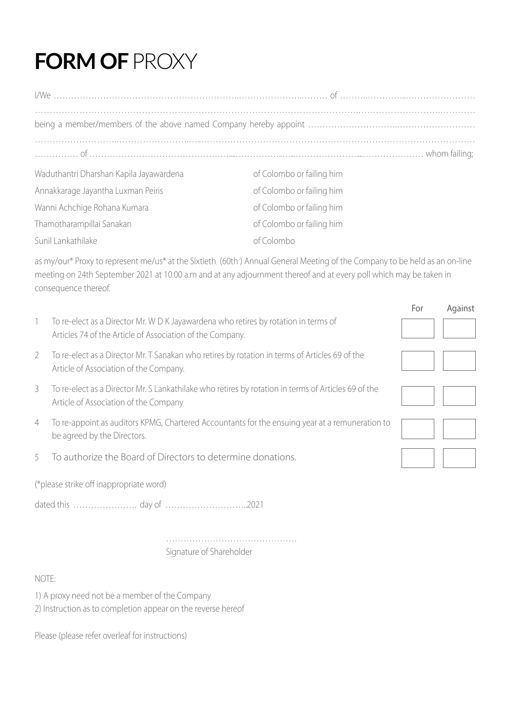# **FORM OF** PROXY

| Waduthantri Dharshan Kapila Jayawardena | of Colombo or failing him |  |  |  |
|-----------------------------------------|---------------------------|--|--|--|
| Annakkarage Jayantha Luxman Peiris      | of Colombo or failing him |  |  |  |
| Wanni Achchige Rohana Kumara            | of Colombo or failing him |  |  |  |
| Thamotharampillai Sanakan               | of Colombo or failing him |  |  |  |
| Sunil Lankathilake                      | of Colombo                |  |  |  |

as my/our\* Proxy to represent me/us\* at the Sixtieth (60th ) Annual General Meeting of the Company to be held as an on-line meeting on 24th September 2021 at 10.00 a.m and at any adjournment thereof and at every poll which may be taken in consequence thereof.

|                |                                                                                                                                                  | For | Against |
|----------------|--------------------------------------------------------------------------------------------------------------------------------------------------|-----|---------|
|                | To re-elect as a Director Mr. W D K Jayawardena who retires by rotation in terms of<br>Articles 74 of the Article of Association of the Company. |     |         |
| 2              | To re-elect as a Director Mr. T Sanakan who retires by rotation in terms of Articles 69 of the<br>Article of Association of the Company.         |     |         |
| 3              | To re-elect as a Director Mr. S Lankathilake who retires by rotation in terms of Articles 69 of the<br>Article of Association of the Company     |     |         |
| $\overline{4}$ | To re-appoint as auditors KPMG, Chartered Accountants for the ensuing year at a remuneration to<br>be agreed by the Directors.                   |     |         |
| 5.             | To authorize the Board of Directors to determine donations.                                                                                      |     |         |
|                | (*please strike off inappropriate word)                                                                                                          |     |         |
| .2021          |                                                                                                                                                  |     |         |

 ……………………………………… Signature of Shareholder

#### NOTE:

- 1) A proxy need not be a member of the Company
- 2) Instruction as to completion appear on the reverse hereof

Please (please refer overleaf for instructions)